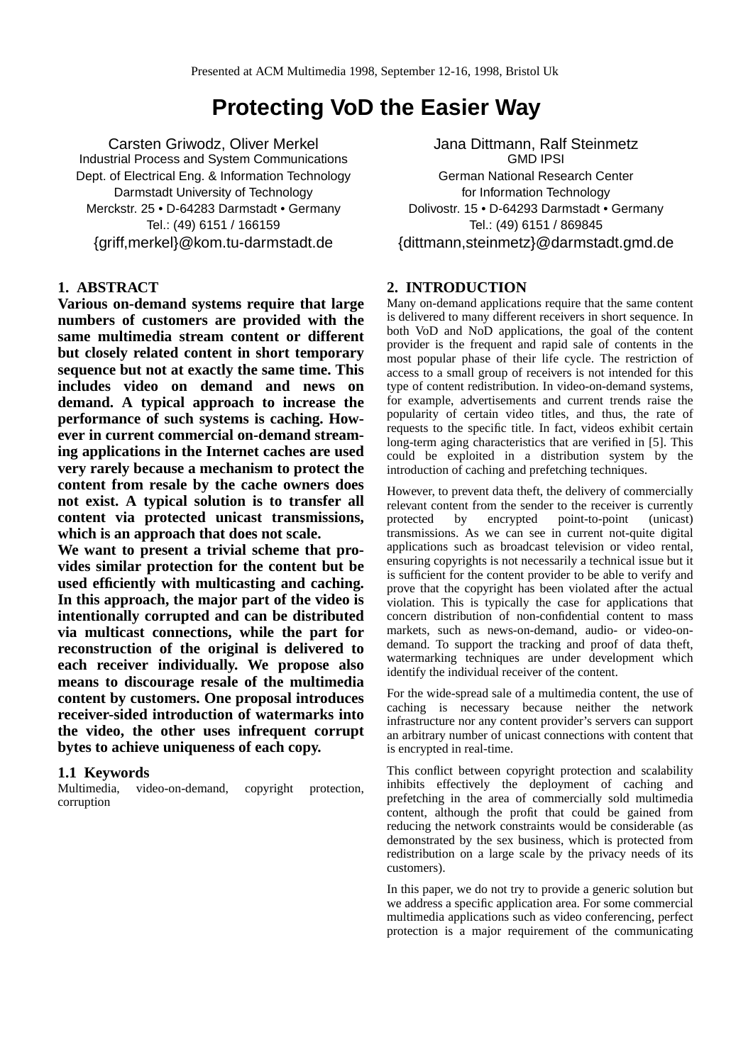# **Protecting VoD the Easier Way**

Carsten Griwodz, Oliver Merkel Industrial Process and System Communications Dept. of Electrical Eng. & Information Technology Darmstadt University of Technology Merckstr. 25 • D-64283 Darmstadt • Germany Tel.: (49) 6151 / 166159 {griff,merkel}@kom.tu-darmstadt.de

## **1. ABSTRACT**

**Various on-demand systems require that large numbers of customers are provided with the same multimedia stream content or different but closely related content in short temporary sequence but not at exactly the same time. This includes video on demand and news on demand. A typical approach to increase the performance of such systems is caching. However in current commercial on-demand streaming applications in the Internet caches are used very rarely because a mechanism to protect the content from resale by the cache owners does not exist. A typical solution is to transfer all content via protected unicast transmissions, which is an approach that does not scale.**

**We want to present a trivial scheme that provides similar protection for the content but be used efficiently with multicasting and caching. In this approach, the major part of the video is intentionally corrupted and can be distributed via multicast connections, while the part for reconstruction of the original is delivered to each receiver individually. We propose also means to discourage resale of the multimedia content by customers. One proposal introduces receiver-sided introduction of watermarks into the video, the other uses infrequent corrupt bytes to achieve uniqueness of each copy.**

## **1.1 Keywords**

Multimedia, video-on-demand, copyright protection, corruption

Jana Dittmann, Ralf Steinmetz GMD IPSI German National Research Center for Information Technology Dolivostr. 15 • D-64293 Darmstadt • Germany Tel.: (49) 6151 / 869845 {dittmann,steinmetz}@darmstadt.gmd.de

## **2. INTRODUCTION**

Many on-demand applications require that the same content is delivered to many different receivers in short sequence. In both VoD and NoD applications, the goal of the content provider is the frequent and rapid sale of contents in the most popular phase of their life cycle. The restriction of access to a small group of receivers is not intended for this type of content redistribution. In video-on-demand systems, for example, advertisements and current trends raise the popularity of certain video titles, and thus, the rate of requests to the specific title. In fact, videos exhibit certain long-term aging characteristics that are verified in [5]. This could be exploited in a distribution system by the introduction of caching and prefetching techniques.

However, to prevent data theft, the delivery of commercially relevant content from the sender to the receiver is currently<br>protected by encrypted point-to-point (unicast) protected by encrypted point-to-point (unicast) transmissions. As we can see in current not-quite digital applications such as broadcast television or video rental, ensuring copyrights is not necessarily a technical issue but it is sufficient for the content provider to be able to verify and prove that the copyright has been violated after the actual violation. This is typically the case for applications that concern distribution of non-confidential content to mass markets, such as news-on-demand, audio- or video-ondemand. To support the tracking and proof of data theft, watermarking techniques are under development which identify the individual receiver of the content.

For the wide-spread sale of a multimedia content, the use of caching is necessary because neither the network infrastructure nor any content provider's servers can support an arbitrary number of unicast connections with content that is encrypted in real-time.

This conflict between copyright protection and scalability inhibits effectively the deployment of caching and prefetching in the area of commercially sold multimedia content, although the profit that could be gained from reducing the network constraints would be considerable (as demonstrated by the sex business, which is protected from redistribution on a large scale by the privacy needs of its customers).

In this paper, we do not try to provide a generic solution but we address a specific application area. For some commercial multimedia applications such as video conferencing, perfect protection is a major requirement of the communicating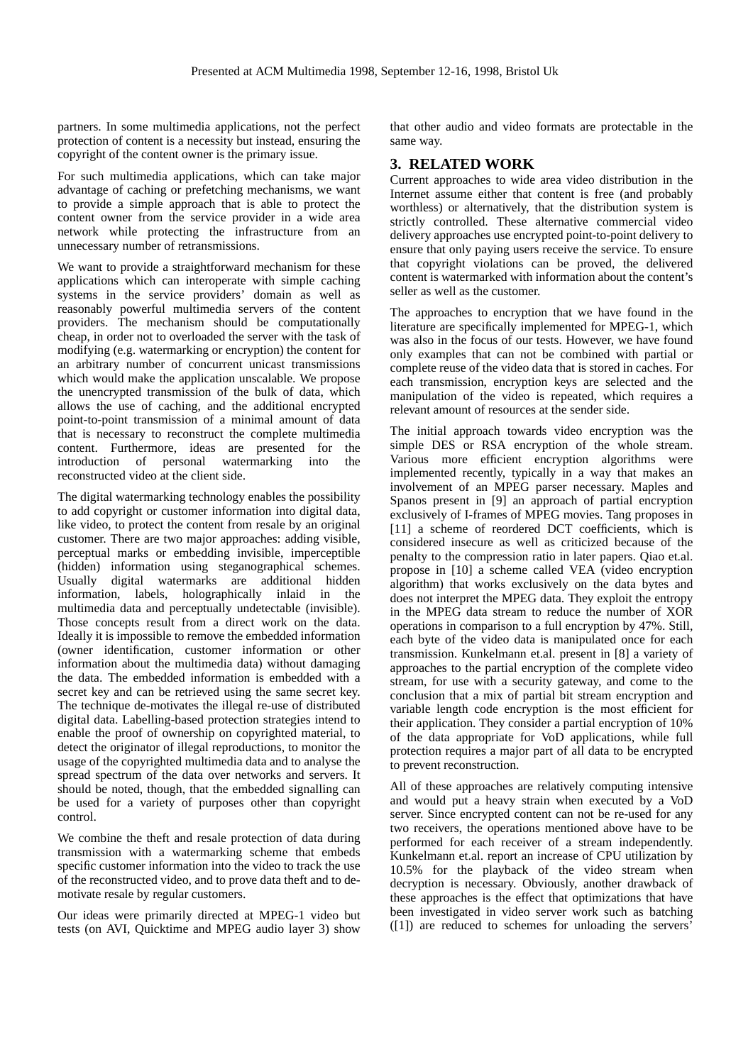partners. In some multimedia applications, not the perfect protection of content is a necessity but instead, ensuring the copyright of the content owner is the primary issue.

For such multimedia applications, which can take major advantage of caching or prefetching mechanisms, we want to provide a simple approach that is able to protect the content owner from the service provider in a wide area network while protecting the infrastructure from an unnecessary number of retransmissions.

We want to provide a straightforward mechanism for these applications which can interoperate with simple caching systems in the service providers' domain as well as reasonably powerful multimedia servers of the content providers. The mechanism should be computationally cheap, in order not to overloaded the server with the task of modifying (e.g. watermarking or encryption) the content for an arbitrary number of concurrent unicast transmissions which would make the application unscalable. We propose the unencrypted transmission of the bulk of data, which allows the use of caching, and the additional encrypted point-to-point transmission of a minimal amount of data that is necessary to reconstruct the complete multimedia content. Furthermore, ideas are presented for the introduction of personal watermarking into the watermarking reconstructed video at the client side.

The digital watermarking technology enables the possibility to add copyright or customer information into digital data, like video, to protect the content from resale by an original customer. There are two major approaches: adding visible, perceptual marks or embedding invisible, imperceptible (hidden) information using steganographical schemes. Usually digital watermarks are additional hidden information, labels, holographically inlaid in the multimedia data and perceptually undetectable (invisible). Those concepts result from a direct work on the data. Ideally it is impossible to remove the embedded information (owner identification, customer information or other information about the multimedia data) without damaging the data. The embedded information is embedded with a secret key and can be retrieved using the same secret key. The technique de-motivates the illegal re-use of distributed digital data. Labelling-based protection strategies intend to enable the proof of ownership on copyrighted material, to detect the originator of illegal reproductions, to monitor the usage of the copyrighted multimedia data and to analyse the spread spectrum of the data over networks and servers. It should be noted, though, that the embedded signalling can be used for a variety of purposes other than copyright control.

We combine the theft and resale protection of data during transmission with a watermarking scheme that embeds specific customer information into the video to track the use of the reconstructed video, and to prove data theft and to demotivate resale by regular customers.

Our ideas were primarily directed at MPEG-1 video but tests (on AVI, Quicktime and MPEG audio layer 3) show

that other audio and video formats are protectable in the same way.

# **3. RELATED WORK**

Current approaches to wide area video distribution in the Internet assume either that content is free (and probably worthless) or alternatively, that the distribution system is strictly controlled. These alternative commercial video delivery approaches use encrypted point-to-point delivery to ensure that only paying users receive the service. To ensure that copyright violations can be proved, the delivered content is watermarked with information about the content's seller as well as the customer.

The approaches to encryption that we have found in the literature are specifically implemented for MPEG-1, which was also in the focus of our tests. However, we have found only examples that can not be combined with partial or complete reuse of the video data that is stored in caches. For each transmission, encryption keys are selected and the manipulation of the video is repeated, which requires a relevant amount of resources at the sender side.

The initial approach towards video encryption was the simple DES or RSA encryption of the whole stream. Various more efficient encryption algorithms were implemented recently, typically in a way that makes an involvement of an MPEG parser necessary. Maples and Spanos present in [9] an approach of partial encryption exclusively of I-frames of MPEG movies. Tang proposes in [11] a scheme of reordered DCT coefficients, which is considered insecure as well as criticized because of the penalty to the compression ratio in later papers. Qiao et.al. propose in [10] a scheme called VEA (video encryption algorithm) that works exclusively on the data bytes and does not interpret the MPEG data. They exploit the entropy in the MPEG data stream to reduce the number of XOR operations in comparison to a full encryption by 47%. Still, each byte of the video data is manipulated once for each transmission. Kunkelmann et.al. present in [8] a variety of approaches to the partial encryption of the complete video stream, for use with a security gateway, and come to the conclusion that a mix of partial bit stream encryption and variable length code encryption is the most efficient for their application. They consider a partial encryption of 10% of the data appropriate for VoD applications, while full protection requires a major part of all data to be encrypted to prevent reconstruction.

All of these approaches are relatively computing intensive and would put a heavy strain when executed by a VoD server. Since encrypted content can not be re-used for any two receivers, the operations mentioned above have to be performed for each receiver of a stream independently. Kunkelmann et.al. report an increase of CPU utilization by 10.5% for the playback of the video stream when decryption is necessary. Obviously, another drawback of these approaches is the effect that optimizations that have been investigated in video server work such as batching ([1]) are reduced to schemes for unloading the servers'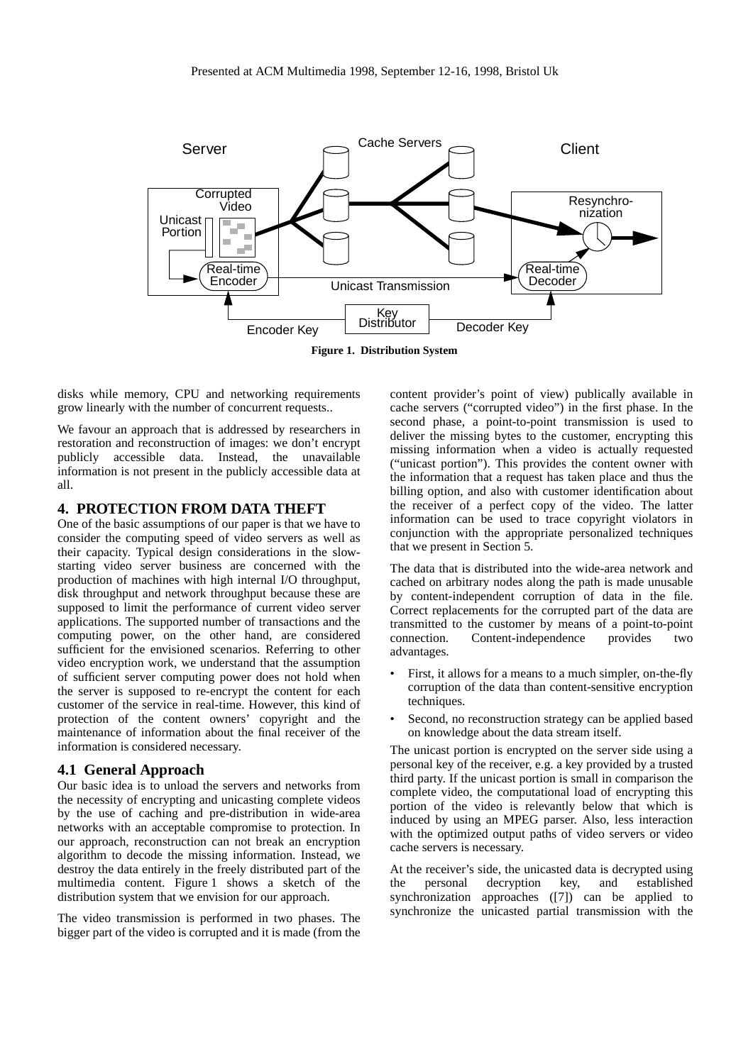

disks while memory, CPU and networking requirements grow linearly with the number of concurrent requests..

We favour an approach that is addressed by researchers in restoration and reconstruction of images: we don't encrypt publicly accessible data. Instead, the unavailable information is not present in the publicly accessible data at all.

# **4. PROTECTION FROM DATA THEFT**

One of the basic assumptions of our paper is that we have to consider the computing speed of video servers as well as their capacity. Typical design considerations in the slowstarting video server business are concerned with the production of machines with high internal I/O throughput, disk throughput and network throughput because these are supposed to limit the performance of current video server applications. The supported number of transactions and the computing power, on the other hand, are considered sufficient for the envisioned scenarios. Referring to other video encryption work, we understand that the assumption of sufficient server computing power does not hold when the server is supposed to re-encrypt the content for each customer of the service in real-time. However, this kind of protection of the content owners' copyright and the maintenance of information about the final receiver of the information is considered necessary.

#### **4.1 General Approach**

Our basic idea is to unload the servers and networks from the necessity of encrypting and unicasting complete videos by the use of caching and pre-distribution in wide-area networks with an acceptable compromise to protection. In our approach, reconstruction can not break an encryption algorithm to decode the missing information. Instead, we destroy the data entirely in the freely distributed part of the multimedia content. Figure 1 shows a sketch of the distribution system that we envision for our approach.

The video transmission is performed in two phases. The bigger part of the video is corrupted and it is made (from the

content provider's point of view) publically available in cache servers ("corrupted video") in the first phase. In the second phase, a point-to-point transmission is used to deliver the missing bytes to the customer, encrypting this missing information when a video is actually requested ("unicast portion"). This provides the content owner with the information that a request has taken place and thus the billing option, and also with customer identification about the receiver of a perfect copy of the video. The latter information can be used to trace copyright violators in conjunction with the appropriate personalized techniques that we present in Section 5.

The data that is distributed into the wide-area network and cached on arbitrary nodes along the path is made unusable by content-independent corruption of data in the file. Correct replacements for the corrupted part of the data are transmitted to the customer by means of a point-to-point connection. Content-independence provides advantages.

- First, it allows for a means to a much simpler, on-the-fly corruption of the data than content-sensitive encryption techniques.
- Second, no reconstruction strategy can be applied based on knowledge about the data stream itself.

The unicast portion is encrypted on the server side using a personal key of the receiver, e.g. a key provided by a trusted third party. If the unicast portion is small in comparison the complete video, the computational load of encrypting this portion of the video is relevantly below that which is induced by using an MPEG parser. Also, less interaction with the optimized output paths of video servers or video cache servers is necessary.

At the receiver's side, the unicasted data is decrypted using<br>the **personal** decryption key, and established the personal decryption key, synchronization approaches ([7]) can be applied to synchronize the unicasted partial transmission with the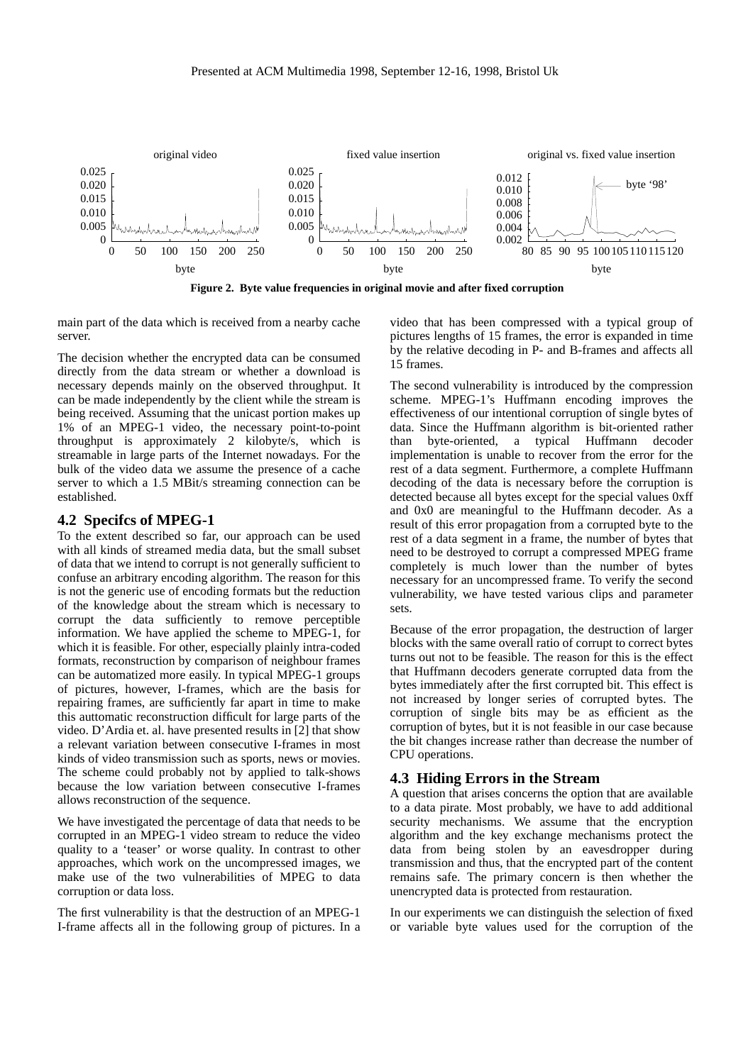

**Figure 2. Byte value frequencies in original movie and after fixed corruption**

main part of the data which is received from a nearby cache server.

The decision whether the encrypted data can be consumed directly from the data stream or whether a download is necessary depends mainly on the observed throughput. It can be made independently by the client while the stream is being received. Assuming that the unicast portion makes up 1% of an MPEG-1 video, the necessary point-to-point throughput is approximately 2 kilobyte/s, which is streamable in large parts of the Internet nowadays. For the bulk of the video data we assume the presence of a cache server to which a 1.5 MBit/s streaming connection can be established.

#### **4.2 Specifcs of MPEG-1**

To the extent described so far, our approach can be used with all kinds of streamed media data, but the small subset of data that we intend to corrupt is not generally sufficient to confuse an arbitrary encoding algorithm. The reason for this is not the generic use of encoding formats but the reduction of the knowledge about the stream which is necessary to corrupt the data sufficiently to remove perceptible information. We have applied the scheme to MPEG-1, for which it is feasible. For other, especially plainly intra-coded formats, reconstruction by comparison of neighbour frames can be automatized more easily. In typical MPEG-1 groups of pictures, however, I-frames, which are the basis for repairing frames, are sufficiently far apart in time to make this auttomatic reconstruction difficult for large parts of the video. D'Ardia et. al. have presented results in [2] that show a relevant variation between consecutive I-frames in most kinds of video transmission such as sports, news or movies. The scheme could probably not by applied to talk-shows because the low variation between consecutive I-frames allows reconstruction of the sequence.

We have investigated the percentage of data that needs to be corrupted in an MPEG-1 video stream to reduce the video quality to a 'teaser' or worse quality. In contrast to other approaches, which work on the uncompressed images, we make use of the two vulnerabilities of MPEG to data corruption or data loss.

The first vulnerability is that the destruction of an MPEG-1 I-frame affects all in the following group of pictures. In a video that has been compressed with a typical group of pictures lengths of 15 frames, the error is expanded in time by the relative decoding in P- and B-frames and affects all 15 frames.

The second vulnerability is introduced by the compression scheme. MPEG-1's Huffmann encoding improves the effectiveness of our intentional corruption of single bytes of data. Since the Huffmann algorithm is bit-oriented rather than byte-oriented, a typical Huffmann decoder implementation is unable to recover from the error for the rest of a data segment. Furthermore, a complete Huffmann decoding of the data is necessary before the corruption is detected because all bytes except for the special values 0xff and 0x0 are meaningful to the Huffmann decoder. As a result of this error propagation from a corrupted byte to the rest of a data segment in a frame, the number of bytes that need to be destroyed to corrupt a compressed MPEG frame completely is much lower than the number of bytes necessary for an uncompressed frame. To verify the second vulnerability, we have tested various clips and parameter sets.

Because of the error propagation, the destruction of larger blocks with the same overall ratio of corrupt to correct bytes turns out not to be feasible. The reason for this is the effect that Huffmann decoders generate corrupted data from the bytes immediately after the first corrupted bit. This effect is not increased by longer series of corrupted bytes. The corruption of single bits may be as efficient as the corruption of bytes, but it is not feasible in our case because the bit changes increase rather than decrease the number of CPU operations.

### **4.3 Hiding Errors in the Stream**

A question that arises concerns the option that are available to a data pirate. Most probably, we have to add additional security mechanisms. We assume that the encryption algorithm and the key exchange mechanisms protect the data from being stolen by an eavesdropper during transmission and thus, that the encrypted part of the content remains safe. The primary concern is then whether the unencrypted data is protected from restauration.

In our experiments we can distinguish the selection of fixed or variable byte values used for the corruption of the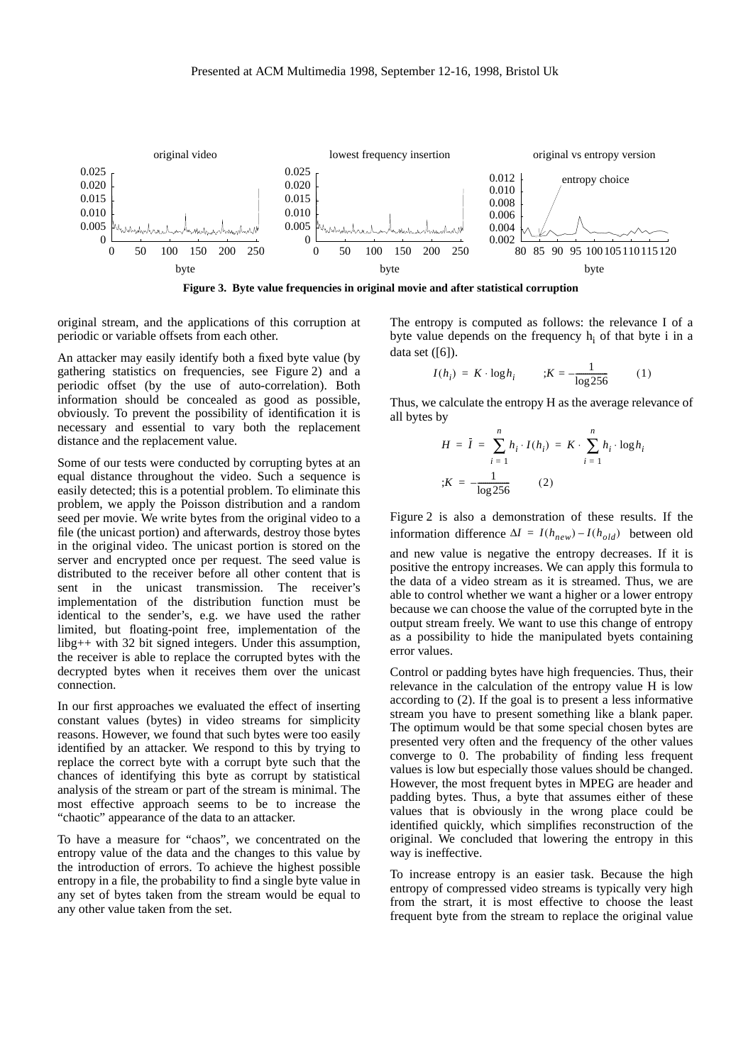

**Figure 3. Byte value frequencies in original movie and after statistical corruption**

original stream, and the applications of this corruption at periodic or variable offsets from each other.

An attacker may easily identify both a fixed byte value (by gathering statistics on frequencies, see Figure 2) and a periodic offset (by the use of auto-correlation). Both information should be concealed as good as possible, obviously. To prevent the possibility of identification it is necessary and essential to vary both the replacement distance and the replacement value.

Some of our tests were conducted by corrupting bytes at an equal distance throughout the video. Such a sequence is easily detected; this is a potential problem. To eliminate this problem, we apply the Poisson distribution and a random seed per movie. We write bytes from the original video to a file (the unicast portion) and afterwards, destroy those bytes in the original video. The unicast portion is stored on the server and encrypted once per request. The seed value is distributed to the receiver before all other content that is sent in the unicast transmission. The receiver's implementation of the distribution function must be identical to the sender's, e.g. we have used the rather limited, but floating-point free, implementation of the libg++ with 32 bit signed integers. Under this assumption, the receiver is able to replace the corrupted bytes with the decrypted bytes when it receives them over the unicast connection.

In our first approaches we evaluated the effect of inserting constant values (bytes) in video streams for simplicity reasons. However, we found that such bytes were too easily identified by an attacker. We respond to this by trying to replace the correct byte with a corrupt byte such that the chances of identifying this byte as corrupt by statistical analysis of the stream or part of the stream is minimal. The most effective approach seems to be to increase the "chaotic" appearance of the data to an attacker.

To have a measure for "chaos", we concentrated on the entropy value of the data and the changes to this value by the introduction of errors. To achieve the highest possible entropy in a file, the probability to find a single byte value in any set of bytes taken from the stream would be equal to any other value taken from the set.

The entropy is computed as follows: the relevance I of a byte value depends on the frequency  $h_i$  of that byte i in a data set  $([6])$ .

$$
I(h_i) = K \cdot \log h_i \qquad ; K = -\frac{1}{\log 256} \qquad (1)
$$

Thus, we calculate the entropy H as the average relevance of all bytes by

$$
H = \bar{I} = \sum_{i=1}^{n} h_i \cdot I(h_i) = K \cdot \sum_{i=1}^{n} h_i \cdot \log h_i
$$
  

$$
K = -\frac{1}{\log 256}
$$
 (2)

Figure 2 is also a demonstration of these results. If the information difference  $\Delta I = I(h_{new}) - I(h_{old})$  between old and new value is negative the entropy decreases. If it is positive the entropy increases. We can apply this formula to the data of a video stream as it is streamed. Thus, we are able to control whether we want a higher or a lower entropy because we can choose the value of the corrupted byte in the output stream freely. We want to use this change of entropy as a possibility to hide the manipulated byets containing error values.

Control or padding bytes have high frequencies. Thus, their relevance in the calculation of the entropy value H is low according to (2). If the goal is to present a less informative stream you have to present something like a blank paper. The optimum would be that some special chosen bytes are presented very often and the frequency of the other values converge to 0. The probability of finding less frequent values is low but especially those values should be changed. However, the most frequent bytes in MPEG are header and padding bytes. Thus, a byte that assumes either of these values that is obviously in the wrong place could be identified quickly, which simplifies reconstruction of the original. We concluded that lowering the entropy in this way is ineffective.

To increase entropy is an easier task. Because the high entropy of compressed video streams is typically very high from the strart, it is most effective to choose the least frequent byte from the stream to replace the original value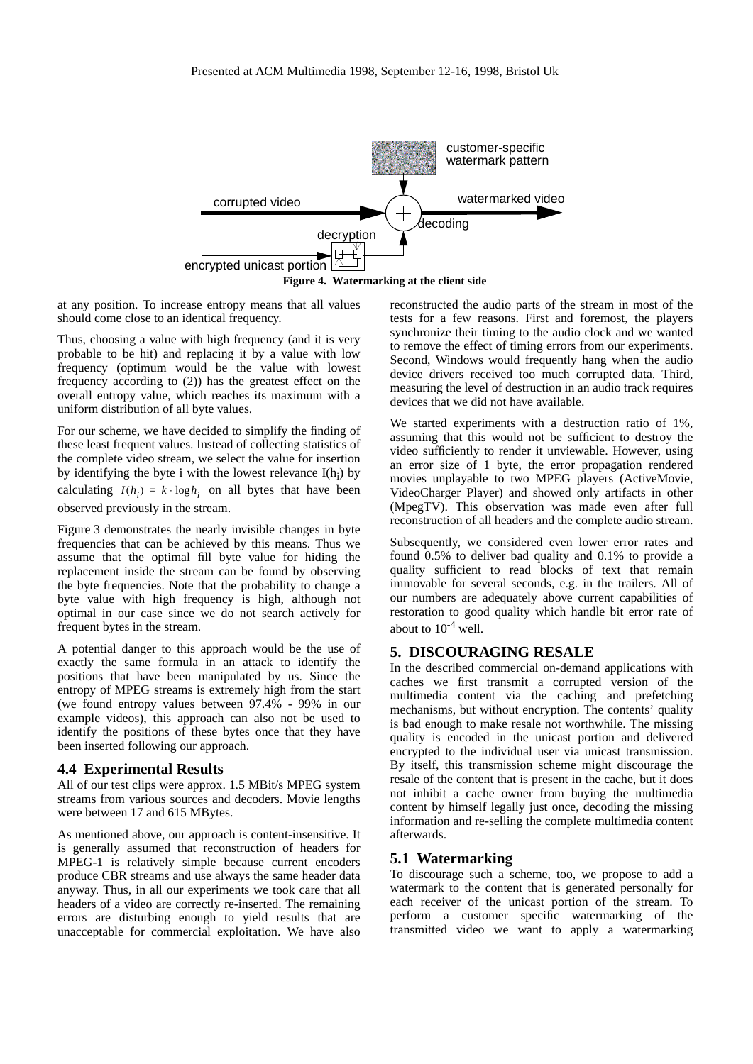

**Figure 4. Watermarking at the client side**

at any position. To increase entropy means that all values should come close to an identical frequency.

Thus, choosing a value with high frequency (and it is very probable to be hit) and replacing it by a value with low frequency (optimum would be the value with lowest frequency according to (2)) has the greatest effect on the overall entropy value, which reaches its maximum with a uniform distribution of all byte values.

For our scheme, we have decided to simplify the finding of these least frequent values. Instead of collecting statistics of the complete video stream, we select the value for insertion by identifying the byte i with the lowest relevance  $I(h_i)$  by calculating  $I(h_i) = k \cdot \log h_i$  on all bytes that have been observed previously in the stream.

Figure 3 demonstrates the nearly invisible changes in byte frequencies that can be achieved by this means. Thus we assume that the optimal fill byte value for hiding the replacement inside the stream can be found by observing the byte frequencies. Note that the probability to change a byte value with high frequency is high, although not optimal in our case since we do not search actively for frequent bytes in the stream.

A potential danger to this approach would be the use of exactly the same formula in an attack to identify the positions that have been manipulated by us. Since the entropy of MPEG streams is extremely high from the start (we found entropy values between 97.4% - 99% in our example videos), this approach can also not be used to identify the positions of these bytes once that they have been inserted following our approach.

#### **4.4 Experimental Results**

All of our test clips were approx. 1.5 MBit/s MPEG system streams from various sources and decoders. Movie lengths were between 17 and 615 MBytes.

As mentioned above, our approach is content-insensitive. It is generally assumed that reconstruction of headers for MPEG-1 is relatively simple because current encoders produce CBR streams and use always the same header data anyway. Thus, in all our experiments we took care that all headers of a video are correctly re-inserted. The remaining errors are disturbing enough to yield results that are unacceptable for commercial exploitation. We have also

reconstructed the audio parts of the stream in most of the tests for a few reasons. First and foremost, the players synchronize their timing to the audio clock and we wanted to remove the effect of timing errors from our experiments. Second, Windows would frequently hang when the audio device drivers received too much corrupted data. Third, measuring the level of destruction in an audio track requires devices that we did not have available.

We started experiments with a destruction ratio of 1%, assuming that this would not be sufficient to destroy the video sufficiently to render it unviewable. However, using an error size of 1 byte, the error propagation rendered movies unplayable to two MPEG players (ActiveMovie, VideoCharger Player) and showed only artifacts in other (MpegTV). This observation was made even after full reconstruction of all headers and the complete audio stream.

Subsequently, we considered even lower error rates and found 0.5% to deliver bad quality and 0.1% to provide a quality sufficient to read blocks of text that remain immovable for several seconds, e.g. in the trailers. All of our numbers are adequately above current capabilities of restoration to good quality which handle bit error rate of about to  $10^{-4}$  well.

# **5. DISCOURAGING RESALE**

In the described commercial on-demand applications with caches we first transmit a corrupted version of the multimedia content via the caching and prefetching mechanisms, but without encryption. The contents' quality is bad enough to make resale not worthwhile. The missing quality is encoded in the unicast portion and delivered encrypted to the individual user via unicast transmission. By itself, this transmission scheme might discourage the resale of the content that is present in the cache, but it does not inhibit a cache owner from buying the multimedia content by himself legally just once, decoding the missing information and re-selling the complete multimedia content afterwards.

## **5.1 Watermarking**

To discourage such a scheme, too, we propose to add a watermark to the content that is generated personally for each receiver of the unicast portion of the stream. To perform a customer specific watermarking of the transmitted video we want to apply a watermarking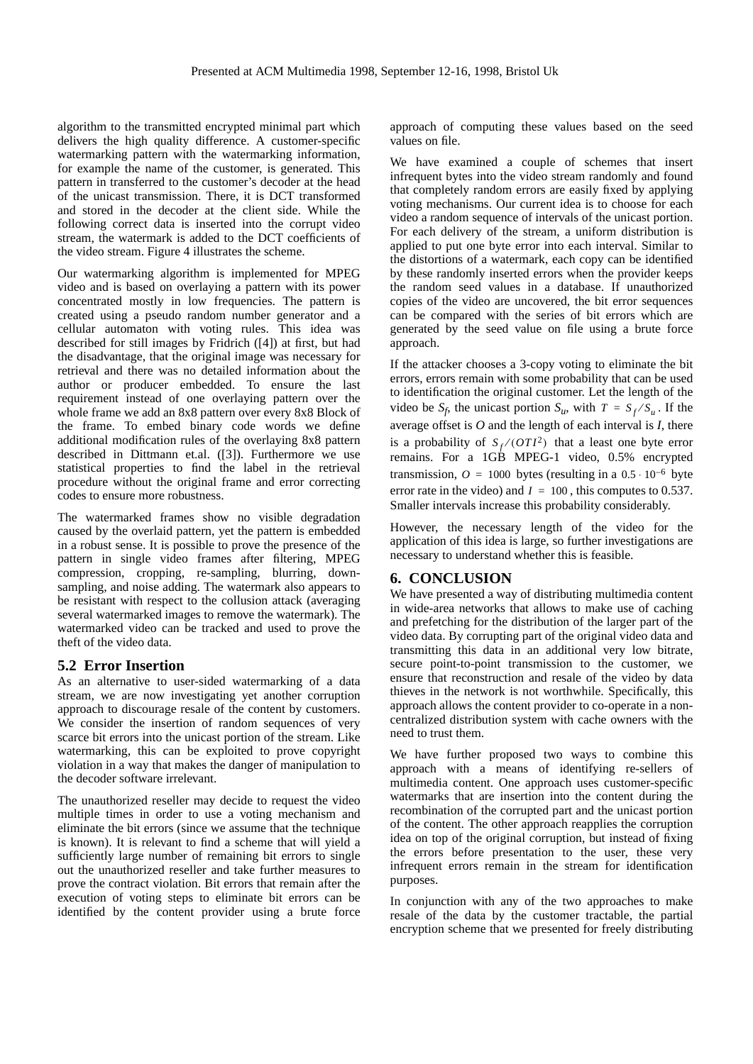algorithm to the transmitted encrypted minimal part which delivers the high quality difference. A customer-specific watermarking pattern with the watermarking information, for example the name of the customer, is generated. This pattern in transferred to the customer's decoder at the head of the unicast transmission. There, it is DCT transformed and stored in the decoder at the client side. While the following correct data is inserted into the corrupt video stream, the watermark is added to the DCT coefficients of the video stream. Figure 4 illustrates the scheme.

Our watermarking algorithm is implemented for MPEG video and is based on overlaying a pattern with its power concentrated mostly in low frequencies. The pattern is created using a pseudo random number generator and a cellular automaton with voting rules. This idea was described for still images by Fridrich ([4]) at first, but had the disadvantage, that the original image was necessary for retrieval and there was no detailed information about the author or producer embedded. To ensure the last requirement instead of one overlaying pattern over the whole frame we add an 8x8 pattern over every 8x8 Block of the frame. To embed binary code words we define additional modification rules of the overlaying 8x8 pattern described in Dittmann et.al. ([3]). Furthermore we use statistical properties to find the label in the retrieval procedure without the original frame and error correcting codes to ensure more robustness.

The watermarked frames show no visible degradation caused by the overlaid pattern, yet the pattern is embedded in a robust sense. It is possible to prove the presence of the pattern in single video frames after filtering, MPEG compression, cropping, re-sampling, blurring, downsampling, and noise adding. The watermark also appears to be resistant with respect to the collusion attack (averaging several watermarked images to remove the watermark). The watermarked video can be tracked and used to prove the theft of the video data.

#### **5.2 Error Insertion**

As an alternative to user-sided watermarking of a data stream, we are now investigating yet another corruption approach to discourage resale of the content by customers. We consider the insertion of random sequences of very scarce bit errors into the unicast portion of the stream. Like watermarking, this can be exploited to prove copyright violation in a way that makes the danger of manipulation to the decoder software irrelevant.

The unauthorized reseller may decide to request the video multiple times in order to use a voting mechanism and eliminate the bit errors (since we assume that the technique is known). It is relevant to find a scheme that will yield a sufficiently large number of remaining bit errors to single out the unauthorized reseller and take further measures to prove the contract violation. Bit errors that remain after the execution of voting steps to eliminate bit errors can be identified by the content provider using a brute force

approach of computing these values based on the seed values on file.

We have examined a couple of schemes that insert infrequent bytes into the video stream randomly and found that completely random errors are easily fixed by applying voting mechanisms. Our current idea is to choose for each video a random sequence of intervals of the unicast portion. For each delivery of the stream, a uniform distribution is applied to put one byte error into each interval. Similar to the distortions of a watermark, each copy can be identified by these randomly inserted errors when the provider keeps the random seed values in a database. If unauthorized copies of the video are uncovered, the bit error sequences can be compared with the series of bit errors which are generated by the seed value on file using a brute force approach.

If the attacker chooses a 3-copy voting to eliminate the bit errors, errors remain with some probability that can be used to identification the original customer. Let the length of the video be  $S_f$ , the unicast portion  $S_u$ , with  $T = S_f / S_u$ . If the average offset is *O* and the length of each interval is *I*, there is a probability of  $S_f$ /( $OTI^2$ ) that a least one byte error remains. For a 1GB MPEG-1 video, 0.5% encrypted transmission,  $\hat{O} = 1000$  bytes (resulting in a  $0.5 \cdot 10^{-6}$  byte error rate in the video) and  $I = 100$ , this computes to 0.537. Smaller intervals increase this probability considerably.

However, the necessary length of the video for the application of this idea is large, so further investigations are necessary to understand whether this is feasible.

## **6. CONCLUSION**

We have presented a way of distributing multimedia content in wide-area networks that allows to make use of caching and prefetching for the distribution of the larger part of the video data. By corrupting part of the original video data and transmitting this data in an additional very low bitrate, secure point-to-point transmission to the customer, we ensure that reconstruction and resale of the video by data thieves in the network is not worthwhile. Specifically, this approach allows the content provider to co-operate in a noncentralized distribution system with cache owners with the need to trust them.

We have further proposed two ways to combine this approach with a means of identifying re-sellers of multimedia content. One approach uses customer-specific watermarks that are insertion into the content during the recombination of the corrupted part and the unicast portion of the content. The other approach reapplies the corruption idea on top of the original corruption, but instead of fixing the errors before presentation to the user, these very infrequent errors remain in the stream for identification purposes.

In conjunction with any of the two approaches to make resale of the data by the customer tractable, the partial encryption scheme that we presented for freely distributing